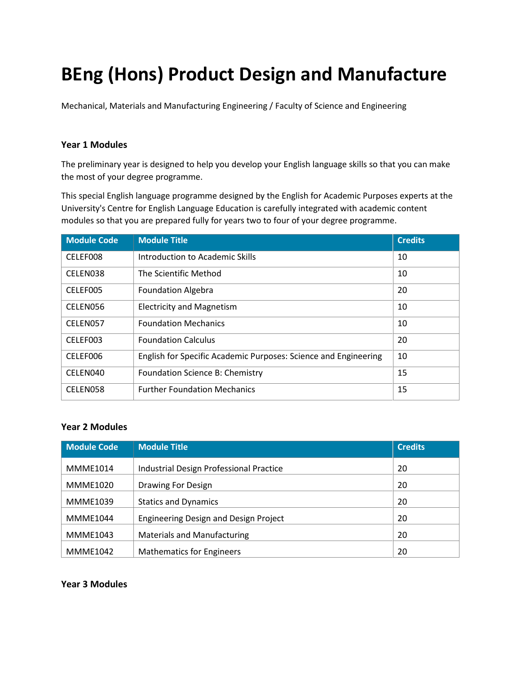# **BEng (Hons) Product Design and Manufacture**

Mechanical, Materials and Manufacturing Engineering / Faculty of Science and Engineering

## **Year 1 Modules**

The preliminary year is designed to help you develop your English language skills so that you can make the most of your degree programme.

This special English language programme designed by the English for Academic Purposes experts at the University's Centre for English Language Education is carefully integrated with academic content modules so that you are prepared fully for years two to four of your degree programme.

| <b>Module Code</b> | <b>Module Title</b>                                             | <b>Credits</b> |
|--------------------|-----------------------------------------------------------------|----------------|
| CELEF008           | Introduction to Academic Skills                                 | 10             |
| CELEN038           | The Scientific Method                                           | 10             |
| CELEF005           | <b>Foundation Algebra</b>                                       | 20             |
| CELEN056           | <b>Electricity and Magnetism</b>                                | 10             |
| CELEN057           | <b>Foundation Mechanics</b>                                     | 10             |
| CELEF003           | <b>Foundation Calculus</b>                                      | 20             |
| CELEF006           | English for Specific Academic Purposes: Science and Engineering | 10             |
| CELEN040           | Foundation Science B: Chemistry                                 | 15             |
| CELEN058           | <b>Further Foundation Mechanics</b>                             | 15             |

## **Year 2 Modules**

| <b>Module Code</b> | <b>Module Title</b>                          | <b>Credits</b> |
|--------------------|----------------------------------------------|----------------|
| <b>MMME1014</b>    | Industrial Design Professional Practice      | 20             |
| <b>MMME1020</b>    | <b>Drawing For Design</b>                    | 20             |
| <b>MMME1039</b>    | <b>Statics and Dynamics</b>                  | 20             |
| <b>MMME1044</b>    | <b>Engineering Design and Design Project</b> | 20             |
| <b>MMME1043</b>    | <b>Materials and Manufacturing</b>           | 20             |
| <b>MMME1042</b>    | <b>Mathematics for Engineers</b>             | 20             |

#### **Year 3 Modules**